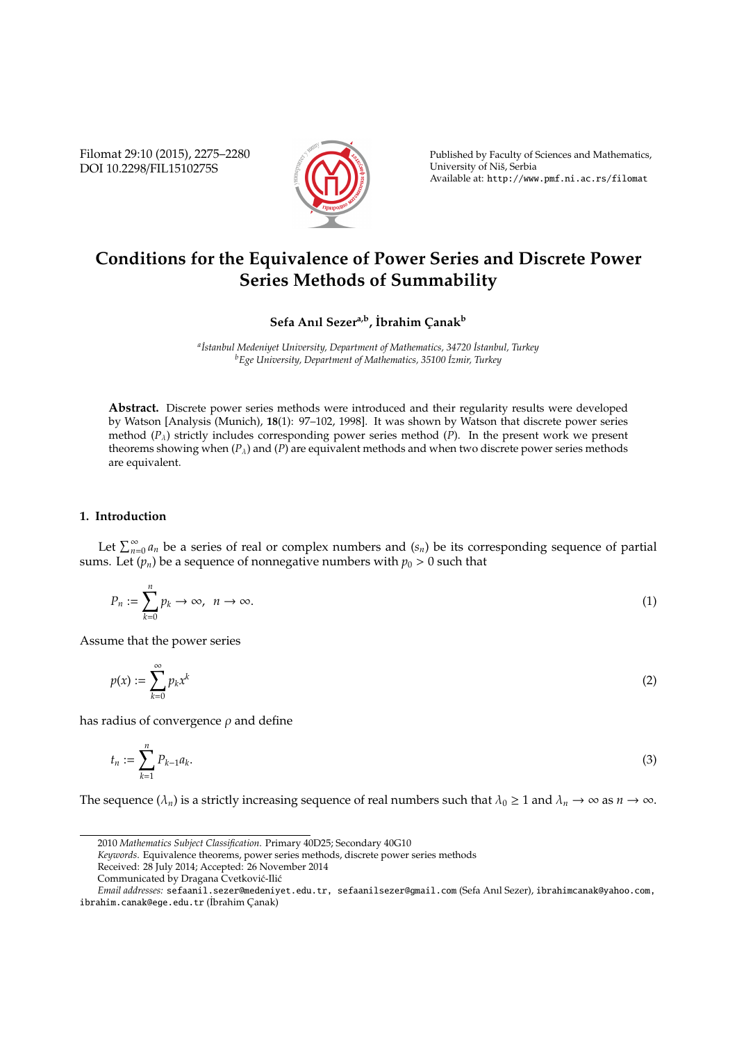Filomat 29:10 (2015), 2275–2280 DOI 10.2298/FIL1510275S



Published by Faculty of Sciences and Mathematics, University of Nis, Serbia ˇ Available at: http://www.pmf.ni.ac.rs/filomat

# **Conditions for the Equivalence of Power Series and Discrete Power Series Methods of Summability**

## $\mathbf{S}$ efa Anıl Sezer<sup>a,b</sup>, İbrahim Çanak<sup>b</sup>

*<sup>a</sup> ˙Istanbul Medeniyet University, Department of Mathematics, 34720 ˙Istanbul, Turkey <sup>b</sup>Ege University, Department of Mathematics, 35100 ˙Izmir, Turkey*

**Abstract.** Discrete power series methods were introduced and their regularity results were developed by Watson [Analysis (Munich), **18**(1): 97–102, 1998]. It was shown by Watson that discrete power series method (*P*λ) strictly includes corresponding power series method (*P*). In the present work we present theorems showing when  $(P_\lambda)$  and  $(P)$  are equivalent methods and when two discrete power series methods are equivalent.

### **1. Introduction**

Let  $\sum_{n=0}^{\infty} a_n$  be a series of real or complex numbers and  $(s_n)$  be its corresponding sequence of partial sums. Let  $(p_n)$  be a sequence of nonnegative numbers with  $p_0 > 0$  such that

$$
P_n := \sum_{k=0}^n p_k \to \infty, \ \ n \to \infty.
$$
 (1)

Assume that the power series

$$
p(x) := \sum_{k=0}^{\infty} p_k x^k
$$
 (2)

has radius of convergence  $\rho$  and define

$$
t_n := \sum_{k=1}^n P_{k-1} a_k. \tag{3}
$$

The sequence  $(\lambda_n)$  is a strictly increasing sequence of real numbers such that  $\lambda_0 \geq 1$  and  $\lambda_n \to \infty$  as  $n \to \infty$ .

<sup>2010</sup> *Mathematics Subject Classification*. Primary 40D25; Secondary 40G10

*Keywords*. Equivalence theorems, power series methods, discrete power series methods

Received: 28 July 2014; Accepted: 26 November 2014

Communicated by Dragana Cvetković-Ilić

*Email addresses:* sefaanil.sezer@medeniyet.edu.tr, sefaanilsezer@gmail.com (Sefa Anıl Sezer), ibrahimcanak@yahoo.com, ibrahim.canak@ege.edu.tr (İbrahim Çanak)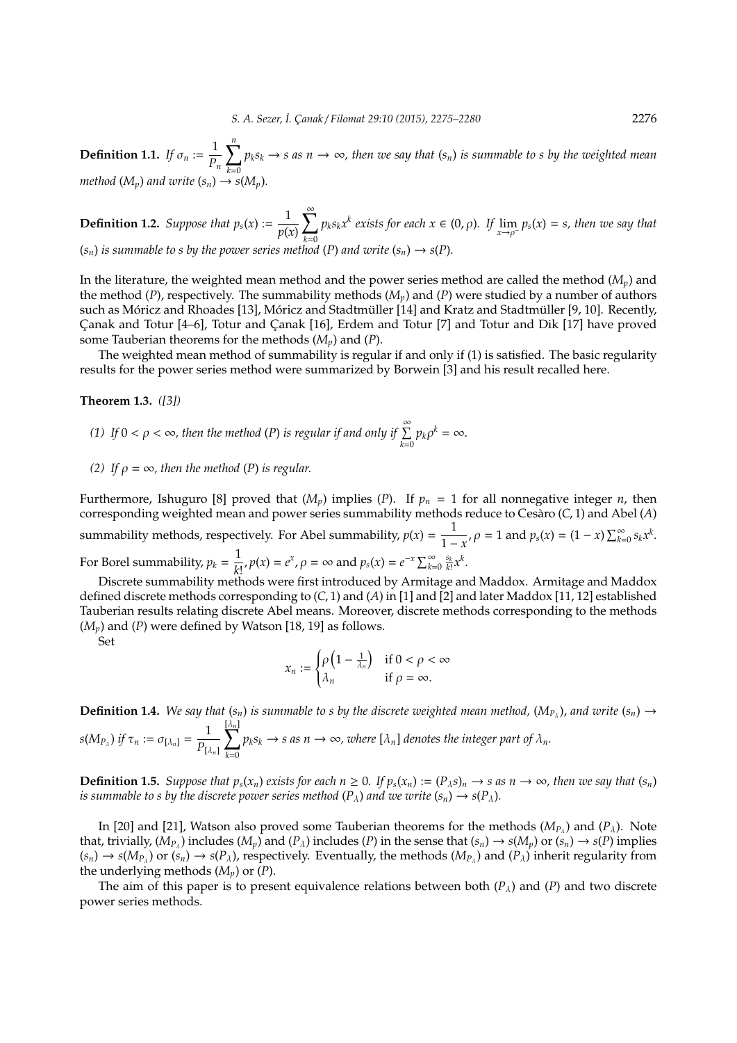**Definition 1.1.** *If*  $\sigma_n := \frac{1}{n}$ *Pn*  $\sum_{i=1}^{n} p_k s_k \to s$  as  $n \to \infty$ , then we say that  $(s_n)$  is summable to s by the weighted mean *method*  $(M_p)$  *and write*  $(s_n) \rightarrow s(M_p)$ *.* 

**Definition 1.2.** *Suppose that*  $p_s(x) := \frac{1}{n!}$ *p*(*x*)  $\sum_{i=1}^{\infty}$ *k*=0  $p_k s_k x^k$  exists for each  $x \in (0, \rho)$ *.* If  $\lim_{x \to \rho^-} p_s(x) = s$ *, then we say that*  $(s_n)$  *is summable to s by the power series method*  $(P)$  *and write*  $(s_n) \rightarrow s(P)$ 

In the literature, the weighted mean method and the power series method are called the method (*Mp*) and the method (*P*), respectively. The summability methods (*Mp*) and (*P*) were studied by a number of authors such as Móricz and Rhoades [13], Móricz and Stadtmüller [14] and Kratz and Stadtmüller [9, 10]. Recently, Canak and Totur [4–6], Totur and Canak [16], Erdem and Totur [7] and Totur and Dik [17] have proved some Tauberian theorems for the methods (*Mp*) and (*P*).

The weighted mean method of summability is regular if and only if (1) is satisfied. The basic regularity results for the power series method were summarized by Borwein [3] and his result recalled here.

#### **Theorem 1.3.** *([3])*

- *(1) If*  $0 < \rho < \infty$ , then the method *(P) is regular if and only if*  $\sum_{k=0}^{\infty} p_k \rho^k = \infty$ .
- *(2)* If  $\rho = \infty$ , then the method *(P) is regular.*

Furthermore, Ishuguro [8] proved that  $(M_p)$  implies (*P*). If  $p_n = 1$  for all nonnegative integer *n*, then corresponding weighted mean and power series summability methods reduce to Cesaro (C, 1) and Abel (A) summability methods, respectively. For Abel summability,  $p(x) = \frac{1}{1-x^2}$  $\frac{1}{1-x}, \rho = 1$  and  $p_s(x) = (1-x) \sum_{k=0}^{\infty} s_k x^k$ . For Borel summability,  $p_k = \frac{1}{k}$  $\frac{1}{k!}$ ,  $p(x) = e^x$ ,  $\rho = \infty$  and  $p_s(x) = e^{-x} \sum_{k=0}^{\infty} \frac{s_k}{k!} x^k$ .

Discrete summability methods were first introduced by Armitage and Maddox. Armitage and Maddox defined discrete methods corresponding to (*C*, 1) and (*A*) in [1] and [2] and later Maddox [11, 12] established Tauberian results relating discrete Abel means. Moreover, discrete methods corresponding to the methods  $(M_p)$  and  $(P)$  were defined by Watson [18, 19] as follows.

Set

$$
x_n := \begin{cases} \rho \left(1 - \frac{1}{\lambda_n}\right) & \text{if } 0 < \rho < \infty \\ \lambda_n & \text{if } \rho = \infty. \end{cases}
$$

**Definition 1.4.** We say that  $(s_n)$  is summable to s by the discrete weighted mean method,  $(M_{P_\lambda})$ , and write  $(s_n) \to$  $s(M_{P_{\lambda}})$  *if*  $\tau_n := \sigma_{[\lambda_n]} = \frac{1}{P_{\lambda_n}}$  $P_{[\lambda_n]}$  $\sum$ *k*=0  $p_k s_k \to s$  as  $n \to \infty$ , where  $[\lambda_n]$  denotes the integer part of  $\lambda_n$ .

**Definition 1.5.** Suppose that  $p_s(x_n)$  exists for each  $n \ge 0$ . If  $p_s(x_n) := (P_\lambda s)_n \to s$  as  $n \to \infty$ , then we say that  $(s_n)$ *is summable to s by the discrete power series method*  $(P_{\lambda})$  *and we write*  $(s_n) \rightarrow s(P_{\lambda})$ *.* 

In [20] and [21], Watson also proved some Tauberian theorems for the methods  $(M_{P_{\lambda}})$  and  $(P_{\lambda})$ . Note that, trivially,  $(M_{P_\lambda})$  includes  $(M_p)$  and  $(P_\lambda)$  includes  $(P)$  in the sense that  $(s_n) \to s(M_p)$  or  $(s_n) \to s(P)$  implies  $(s_n) \to s(M_{P_\lambda})$  or  $(s_n) \to s(P_\lambda)$ , respectively. Eventually, the methods  $(M_{P_\lambda})$  and  $(P_\lambda)$  inherit regularity from the underlying methods (*Mp*) or (*P*).

The aim of this paper is to present equivalence relations between both  $(P_{\lambda})$  and  $(P)$  and two discrete power series methods.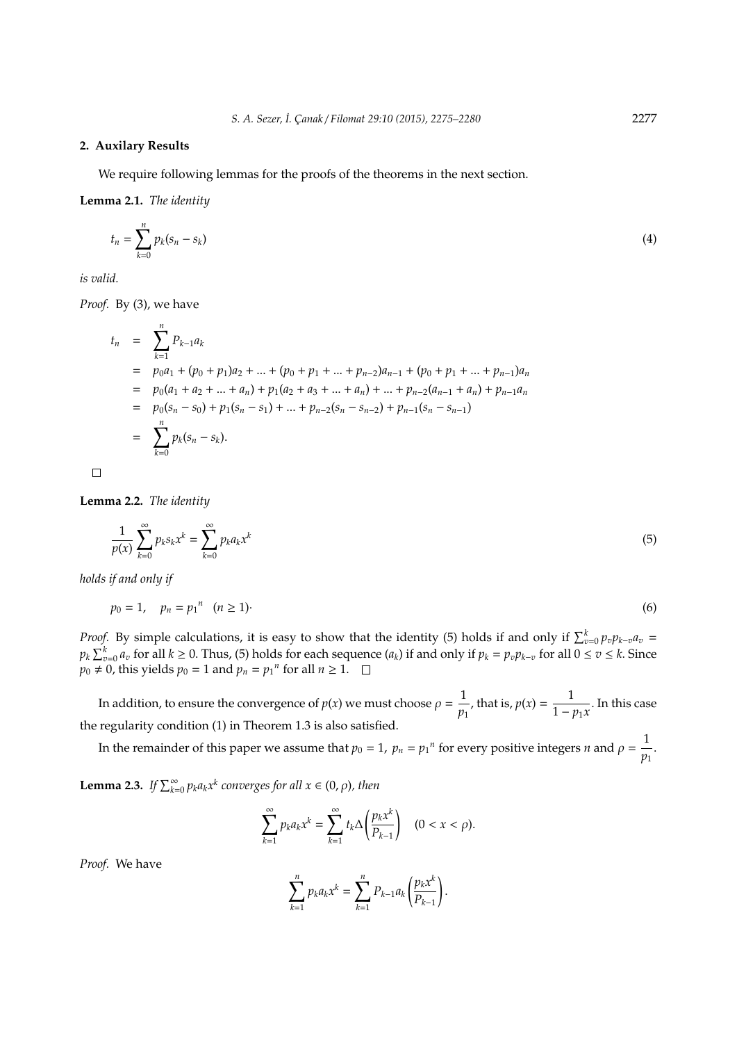#### **2. Auxilary Results**

We require following lemmas for the proofs of the theorems in the next section.

**Lemma 2.1.** *The identity*

$$
t_n = \sum_{k=0}^n p_k (s_n - s_k) \tag{4}
$$

*is valid.*

*Proof.* By (3), we have

$$
t_n = \sum_{k=1}^n P_{k-1}a_k
$$
  
=  $p_0a_1 + (p_0 + p_1)a_2 + ... + (p_0 + p_1 + ... + p_{n-2})a_{n-1} + (p_0 + p_1 + ... + p_{n-1})a_n$   
=  $p_0(a_1 + a_2 + ... + a_n) + p_1(a_2 + a_3 + ... + a_n) + ... + p_{n-2}(a_{n-1} + a_n) + p_{n-1}a_n$   
=  $p_0(s_n - s_0) + p_1(s_n - s_1) + ... + p_{n-2}(s_n - s_{n-2}) + p_{n-1}(s_n - s_{n-1})$   
=  $\sum_{k=0}^n p_k(s_n - s_k).$ 

 $\Box$ 

**Lemma 2.2.** *The identity*

$$
\frac{1}{p(x)}\sum_{k=0}^{\infty}p_k s_k x^k = \sum_{k=0}^{\infty}p_k a_k x^k
$$
\n(5)

*holds if and only if*

$$
p_0 = 1, \quad p_n = p_1^n \quad (n \ge 1)
$$

*Proof.* By simple calculations, it is easy to show that the identity (5) holds if and only if  $\sum_{v=0}^{k} p_v p_{k-v} a_v =$  $p_k\sum_{v=0}^ka_v$  for all  $k\geq 0.$  Thus, (5) holds for each sequence  $(a_k)$  if and only if  $p_k=p_vp_{k-v}$  for all  $0\leq v\leq k.$  Since  $p_0 \neq 0$ , this yields  $p_0 = 1$  and  $p_n = p_1$ <sup>*n*</sup> for all  $n \geq 1$ .

In addition, to ensure the convergence of  $p(x)$  we must choose  $\rho = \frac{1}{x}$  $\frac{1}{p_1}$ , that is,  $p(x) = \frac{1}{1 - x}$  $\frac{1}{1 - p_1 x}$ . In this case the regularity condition (1) in Theorem 1.3 is also satisfied.

In the remainder of this paper we assume that  $p_0 = 1$ ,  $p_n = p_1$ <sup>n</sup> for every positive integers *n* and  $\rho = \frac{1}{n}$  $\frac{1}{p_1}$ .

**Lemma 2.3.** *If*  $\sum_{k=0}^{\infty} p_k a_k x^k$  converges for all  $x \in (0, \rho)$ , then

$$
\sum_{k=1}^{\infty} p_k a_k x^k = \sum_{k=1}^{\infty} t_k \Delta \left( \frac{p_k x^k}{P_{k-1}} \right) \quad (0 < x < \rho).
$$

*Proof.* We have

$$
\sum_{k=1}^n p_k a_k x^k = \sum_{k=1}^n P_{k-1} a_k \left(\frac{p_k x^k}{P_{k-1}}\right).
$$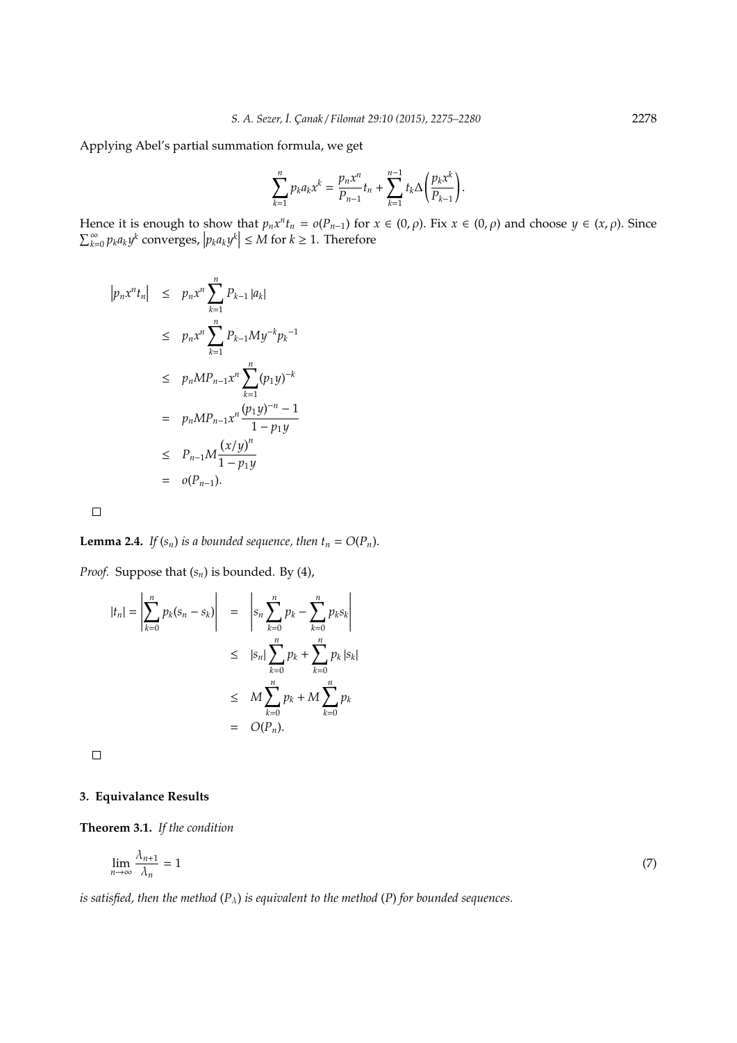Applying Abel's partial summation formula, we get

$$
\sum_{k=1}^n p_k a_k x^k = \frac{p_n x^n}{P_{n-1}} t_n + \sum_{k=1}^{n-1} t_k \Delta \left(\frac{p_k x^k}{P_{k-1}}\right).
$$

Hence it is enough to show that  $p_n x^n t_n = o(P_{n-1})$  for  $x \in (0, \rho)$ . Fix  $x \in (0, \rho)$  and choose  $y \in (x, \rho)$ . Since  $\sum_{k=0}^{\infty} p_k a_k y^k$  converges,  $|p_k a_k y^k| \le M$  for  $k \ge 1$ . Therefore

$$
|p_n x^n t_n| \le p_n x^n \sum_{k=1}^n P_{k-1} |a_k|
$$
  
\n
$$
\le p_n x^n \sum_{k=1}^n P_{k-1} M y^{-k} p_k^{-1}
$$
  
\n
$$
\le p_n M P_{n-1} x^n \sum_{k=1}^n (p_1 y)^{-k}
$$
  
\n
$$
= p_n M P_{n-1} x^n \frac{(p_1 y)^{-n} - 1}{1 - p_1 y}
$$
  
\n
$$
\le P_{n-1} M \frac{(x/y)^n}{1 - p_1 y}
$$
  
\n
$$
= o(P_{n-1}).
$$

 $\Box$ 

**Lemma 2.4.** *If*  $(s_n)$  *is a bounded sequence, then*  $t_n = O(P_n)$ *.* 

*Proof.* Suppose that (*sn*) is bounded. By (4),

$$
|t_n| = \left| \sum_{k=0}^n p_k (s_n - s_k) \right| = \left| s_n \sum_{k=0}^n p_k - \sum_{k=0}^n p_k s_k \right|
$$
  

$$
\leq |s_n| \sum_{k=0}^n p_k + \sum_{k=0}^n p_k |s_k|
$$
  

$$
\leq M \sum_{k=0}^n p_k + M \sum_{k=0}^n p_k
$$
  

$$
= O(P_n).
$$

 $\Box$ 

### **3. Equivalance Results**

**Theorem 3.1.** *If the condition*

$$
\lim_{n \to \infty} \frac{\lambda_{n+1}}{\lambda_n} = 1 \tag{7}
$$

*is satisfied, then the method* (*P*λ) *is equivalent to the method* (*P*) *for bounded sequences.*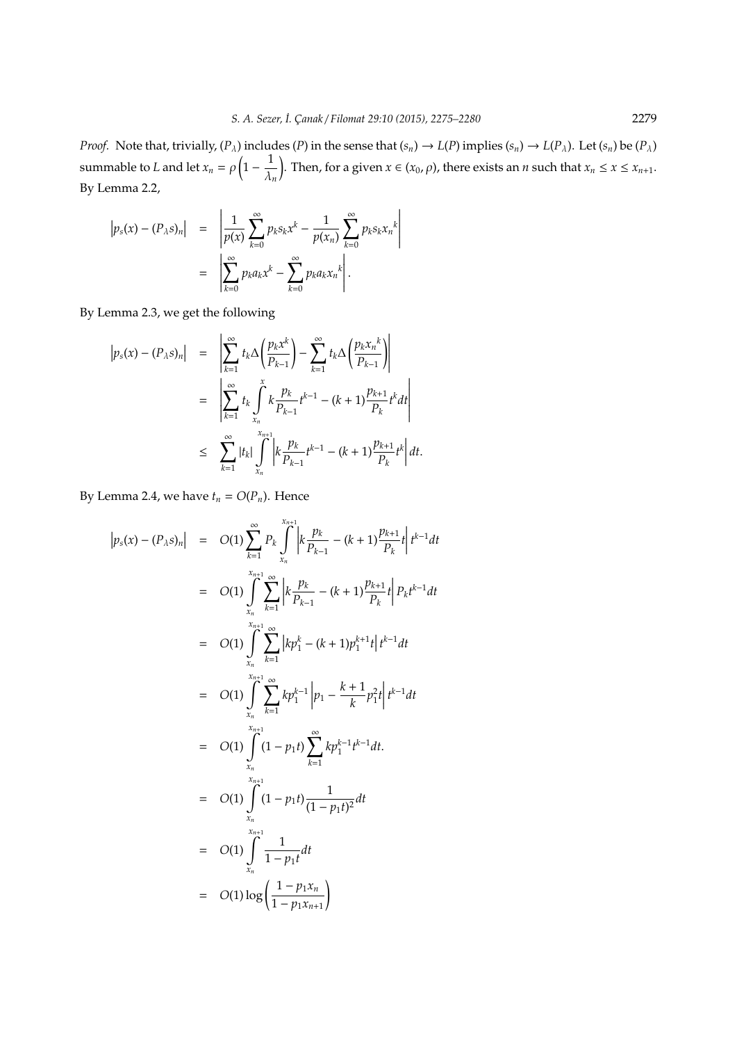*Proof.* Note that, trivially,  $(P_\lambda)$  includes  $(P)$  in the sense that  $(s_n) \to L(P)$  implies  $(s_n) \to L(P_\lambda)$ . Let  $(s_n)$  be  $(P_\lambda)$ summable to *L* and let  $x_n = \rho \left(1 - \frac{1}{\lambda}\right)$ λ*n* . Then, for a given  $x \in (x_0, \rho)$ , there exists an *n* such that  $x_n \le x \le x_{n+1}$ . By Lemma 2.2,

$$
\begin{array}{rcl}\n\left|p_s(x) - (P_\lambda s)_n\right| & = & \left|\frac{1}{p(x)} \sum_{k=0}^\infty p_k s_k x^k - \frac{1}{p(x_n)} \sum_{k=0}^\infty p_k s_k x_n^k\right| \\
& = & \left|\sum_{k=0}^\infty p_k a_k x^k - \sum_{k=0}^\infty p_k a_k x_n^k\right|. \n\end{array}
$$

By Lemma 2.3, we get the following

$$
\begin{array}{rcl} \left|p_s(x) - (P_\lambda s)_n\right| & = & \left|\sum_{k=1}^\infty t_k \Delta \left(\frac{p_k x^k}{P_{k-1}}\right) - \sum_{k=1}^\infty t_k \Delta \left(\frac{p_k x_n^k}{P_{k-1}}\right)\right| \\ & = & \left|\sum_{k=1}^\infty t_k \int\limits_{x_n}^x k \frac{p_k}{P_{k-1}} t^{k-1} - (k+1) \frac{p_{k+1}}{P_k} t^k dt\right| \\ & \leq & \sum_{k=1}^\infty |t_k| \int\limits_{x_n}^{x_{n+1}} \left|k \frac{p_k}{P_{k-1}} t^{k-1} - (k+1) \frac{p_{k+1}}{P_k} t^k\right| dt. \end{array}
$$

By Lemma 2.4, we have  $t_n = O(P_n)$ . Hence

$$
\begin{array}{rcl}\n\left|p_{s}(x) - (P_{\lambda}s)_{n}\right| & = & O(1) \sum_{k=1}^{\infty} P_{k} \int_{x_{n}}^{x_{n+1}} \left| k \frac{p_{k}}{P_{k-1}} - (k+1) \frac{p_{k+1}}{P_{k}} t \right| t^{k-1} dt \\
& = & O(1) \int_{x_{n}}^{x_{n+1}} \sum_{k=1}^{\infty} \left| k \frac{p_{k}}{P_{k-1}} - (k+1) \frac{p_{k+1}}{P_{k}} t \right| P_{k} t^{k-1} dt \\
& = & O(1) \int_{x_{n}}^{x_{n+1}} \sum_{k=1}^{\infty} \left| k p_{1}^{k} - (k+1) p_{1}^{k+1} t \right| t^{k-1} dt \\
& = & O(1) \int_{x_{n}}^{x_{n+1}} \sum_{k=1}^{\infty} k p_{1}^{k-1} \left| p_{1} - \frac{k+1}{k} p_{1}^{2} t \right| t^{k-1} dt \\
& = & O(1) \int_{x_{n}}^{x_{n+1}} (1 - p_{1} t) \sum_{k=1}^{\infty} k p_{1}^{k-1} t^{k-1} dt \\
& = & O(1) \int_{x_{n}}^{x_{n+1}} (1 - p_{1} t) \frac{1}{(1 - p_{1} t)^{2}} dt \\
& = & O(1) \int_{x_{n}}^{x_{n+1}} \frac{1}{1 - p_{1} t} dt \\
& = & O(1) \log \left( \frac{1 - p_{1} x_{n}}{1 - p_{1} x_{n+1}} \right)\n\end{array}
$$